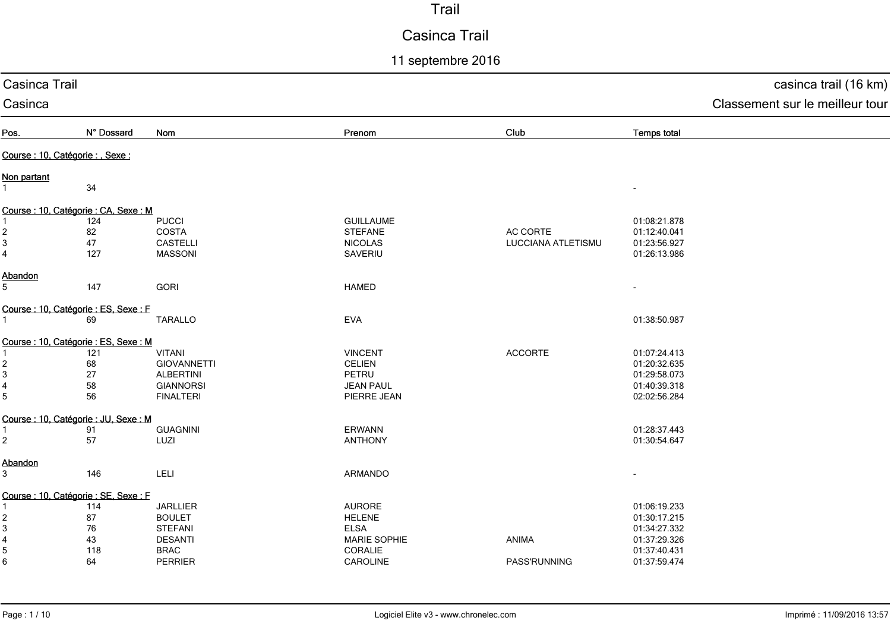# Casinca Trail

11 septembre 2016

| Casinca Trail             |                                       |                    |                     |                    |                          | casinca trail (16 km)           |
|---------------------------|---------------------------------------|--------------------|---------------------|--------------------|--------------------------|---------------------------------|
| Casinca                   |                                       |                    |                     |                    |                          | Classement sur le meilleur tour |
| Pos.                      | N° Dossard                            | Nom                | Prenom              | Club               | <b>Temps total</b>       |                                 |
|                           | Course : 10, Catégorie : , Sexe :     |                    |                     |                    |                          |                                 |
| Non partant               |                                       |                    |                     |                    |                          |                                 |
| $\mathbf{1}$              | 34                                    |                    |                     |                    |                          |                                 |
|                           | Course : 10, Catégorie : CA, Sexe : M |                    |                     |                    |                          |                                 |
|                           | 124                                   | <b>PUCCI</b>       | <b>GUILLAUME</b>    |                    | 01:08:21.878             |                                 |
| $\overline{\mathbf{c}}$   | 82                                    | <b>COSTA</b>       | <b>STEFANE</b>      | AC CORTE           | 01:12:40.041             |                                 |
| $\ensuremath{\mathsf{3}}$ | 47                                    | <b>CASTELLI</b>    | <b>NICOLAS</b>      | LUCCIANA ATLETISMU | 01:23:56.927             |                                 |
| $\overline{4}$            | 127                                   | <b>MASSONI</b>     | SAVERIU             |                    | 01:26:13.986             |                                 |
| Abandon                   |                                       |                    |                     |                    |                          |                                 |
| 5                         | 147                                   | <b>GORI</b>        | <b>HAMED</b>        |                    | $\overline{\phantom{a}}$ |                                 |
|                           | Course : 10, Catégorie : ES, Sexe : F |                    |                     |                    |                          |                                 |
| $\mathbf{1}$              | 69                                    | <b>TARALLO</b>     | <b>EVA</b>          |                    | 01:38:50.987             |                                 |
|                           | Course : 10, Catégorie : ES, Sexe : M |                    |                     |                    |                          |                                 |
|                           | 121                                   | <b>VITANI</b>      | <b>VINCENT</b>      | <b>ACCORTE</b>     | 01:07:24.413             |                                 |
| 2                         | 68                                    | <b>GIOVANNETTI</b> | <b>CELIEN</b>       |                    | 01:20:32.635             |                                 |
| 3                         | 27                                    | <b>ALBERTINI</b>   | PETRU               |                    | 01:29:58.073             |                                 |
| 4                         | 58                                    | <b>GIANNORSI</b>   | <b>JEAN PAUL</b>    |                    | 01:40:39.318             |                                 |
| 5                         | 56                                    | <b>FINALTERI</b>   | PIERRE JEAN         |                    | 02:02:56.284             |                                 |
|                           | Course : 10, Catégorie : JU, Sexe : M |                    |                     |                    |                          |                                 |
| 1                         | 91                                    | <b>GUAGNINI</b>    | ERWANN              |                    | 01:28:37.443             |                                 |
| $\overline{c}$            | 57                                    | LUZI               | <b>ANTHONY</b>      |                    | 01:30:54.647             |                                 |
| Abandon                   |                                       |                    |                     |                    |                          |                                 |
| 3                         | 146                                   | LELI               | ARMANDO             |                    |                          |                                 |
|                           | Course : 10, Catégorie : SE, Sexe : F |                    |                     |                    |                          |                                 |
|                           | 114                                   | <b>JARLLIER</b>    | <b>AURORE</b>       |                    | 01:06:19.233             |                                 |
| 2                         | 87                                    | <b>BOULET</b>      | <b>HELENE</b>       |                    | 01:30:17.215             |                                 |
| $\mathbf{3}$              | $76\,$                                | <b>STEFANI</b>     | <b>ELSA</b>         |                    | 01:34:27.332             |                                 |
| 4                         | 43                                    | <b>DESANTI</b>     | <b>MARIE SOPHIE</b> | ANIMA              | 01:37:29.326             |                                 |
| 5                         | 118                                   | <b>BRAC</b>        | CORALIE             |                    | 01:37:40.431             |                                 |
| 6                         | 64                                    | PERRIER            | CAROLINE            | PASS'RUNNING       | 01:37:59.474             |                                 |
|                           |                                       |                    |                     |                    |                          |                                 |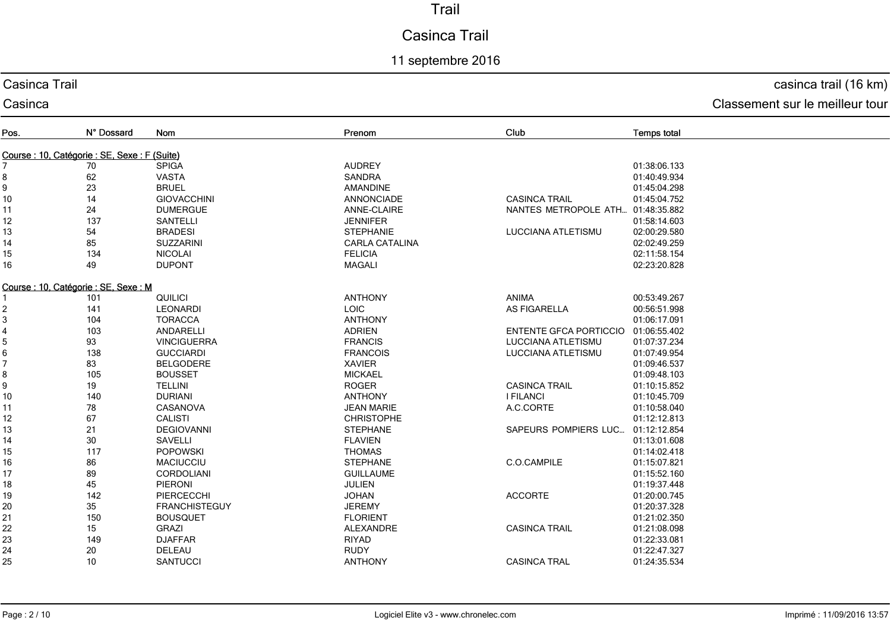# Casinca Trail

## 11 septembre 2016

#### Casinca Trail

Casinca

# casinca trail (16 km)

| Pos.                                          | N° Dossard | Nom                  | Prenom                | Club                          | <b>Temps total</b> |
|-----------------------------------------------|------------|----------------------|-----------------------|-------------------------------|--------------------|
| Course : 10, Catégorie : SE, Sexe : F (Suite) |            |                      |                       |                               |                    |
|                                               | 70         | <b>SPIGA</b>         | <b>AUDREY</b>         |                               | 01:38:06.133       |
| 8                                             | 62         | <b>VASTA</b>         | <b>SANDRA</b>         |                               | 01:40:49.934       |
| 9                                             | 23         | <b>BRUEL</b>         | <b>AMANDINE</b>       |                               | 01:45:04.298       |
| $10$                                          | 14         | <b>GIOVACCHINI</b>   | <b>ANNONCIADE</b>     | <b>CASINCA TRAIL</b>          | 01:45:04.752       |
| 11                                            | 24         | <b>DUMERGUE</b>      | ANNE-CLAIRE           | NANTES METROPOLE ATH          | 01:48:35.882       |
| 12                                            | 137        | SANTELLI             | <b>JENNIFER</b>       |                               | 01:58:14.603       |
| 13                                            | 54         | <b>BRADESI</b>       | <b>STEPHANIE</b>      | LUCCIANA ATLETISMU            | 02:00:29.580       |
| 14                                            | 85         | <b>SUZZARINI</b>     | <b>CARLA CATALINA</b> |                               | 02:02:49.259       |
| 15                                            | 134        | <b>NICOLAI</b>       | <b>FELICIA</b>        |                               | 02:11:58.154       |
| 16                                            | 49         | <b>DUPONT</b>        | <b>MAGALI</b>         |                               | 02:23:20.828       |
| Course: 10, Catégorie: SE, Sexe: M            |            |                      |                       |                               |                    |
|                                               | 101        | QUILICI              | <b>ANTHONY</b>        | ANIMA                         | 00:53:49.267       |
| 2                                             | 141        | <b>LEONARDI</b>      | LOIC                  | AS FIGARELLA                  | 00:56:51.998       |
| 3                                             | 104        | <b>TORACCA</b>       | <b>ANTHONY</b>        |                               | 01:06:17.091       |
| 4                                             | 103        | ANDARELLI            | <b>ADRIEN</b>         | <b>ENTENTE GFCA PORTICCIO</b> | 01:06:55.402       |
| 5                                             | 93         | <b>VINCIGUERRA</b>   | <b>FRANCIS</b>        | <b>LUCCIANA ATLETISMU</b>     | 01:07:37.234       |
| 6                                             | 138        | <b>GUCCIARDI</b>     | <b>FRANCOIS</b>       | <b>LUCCIANA ATLETISMU</b>     | 01:07:49.954       |
| 7                                             | 83         | <b>BELGODERE</b>     | <b>XAVIER</b>         |                               | 01:09:46.537       |
| 8                                             | 105        | <b>BOUSSET</b>       | <b>MICKAEL</b>        |                               | 01:09:48.103       |
| 9                                             | 19         | <b>TELLINI</b>       | <b>ROGER</b>          | <b>CASINCA TRAIL</b>          | 01:10:15.852       |
| $10$                                          | 140        | <b>DURIANI</b>       | <b>ANTHONY</b>        | <b>I FILANCI</b>              | 01:10:45.709       |
| 11                                            | 78         | CASANOVA             | <b>JEAN MARIE</b>     | A.C.CORTE                     | 01:10:58.040       |
| 12                                            | 67         | <b>CALISTI</b>       | <b>CHRISTOPHE</b>     |                               | 01:12:12.813       |
| 13                                            | 21         | <b>DEGIOVANNI</b>    | <b>STEPHANE</b>       | SAPEURS POMPIERS LUC          | 01:12:12.854       |
| 14                                            | 30         | <b>SAVELLI</b>       | <b>FLAVIEN</b>        |                               | 01:13:01.608       |
| 15                                            | 117        | <b>POPOWSKI</b>      | <b>THOMAS</b>         |                               | 01:14:02.418       |
| 16                                            | 86         | <b>MACIUCCIU</b>     | <b>STEPHANE</b>       | C.O.CAMPILE                   | 01:15:07.821       |
| 17                                            | 89         | CORDOLIANI           | <b>GUILLAUME</b>      |                               | 01:15:52.160       |
| 18                                            | 45         | PIERONI              | <b>JULIEN</b>         |                               | 01:19:37.448       |
| 19                                            | 142        | PIERCECCHI           | <b>JOHAN</b>          | <b>ACCORTE</b>                | 01:20:00.745       |
| 20                                            | 35         | <b>FRANCHISTEGUY</b> | <b>JEREMY</b>         |                               | 01:20:37.328       |
| 21                                            | 150        | <b>BOUSQUET</b>      | <b>FLORIENT</b>       |                               | 01:21:02.350       |
| 22                                            | 15         | <b>GRAZI</b>         | ALEXANDRE             | <b>CASINCA TRAIL</b>          | 01:21:08.098       |
| 23                                            | 149        | <b>DJAFFAR</b>       | <b>RIYAD</b>          |                               | 01:22:33.081       |
| 24                                            | 20         | DELEAU               | <b>RUDY</b>           |                               | 01:22:47.327       |
| 25                                            | 10         | <b>SANTUCCI</b>      | <b>ANTHONY</b>        | <b>CASINCA TRAL</b>           | 01:24:35.534       |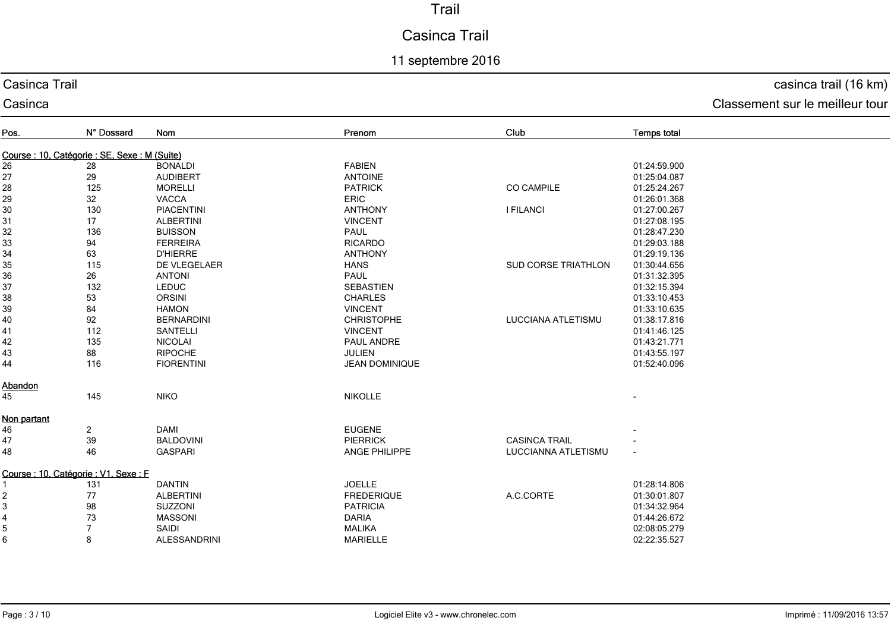# Casinca Trail

## 11 septembre 2016

#### Casinca Trail

#### Casinca

casinca trail (16 km)

| Pos.                                          | N° Dossard              | Nom                 | Prenom                | Club                 | <b>Temps total</b>       |
|-----------------------------------------------|-------------------------|---------------------|-----------------------|----------------------|--------------------------|
| Course : 10, Catégorie : SE, Sexe : M (Suite) |                         |                     |                       |                      |                          |
| 26                                            | 28                      | <b>BONALDI</b>      | <b>FABIEN</b>         |                      | 01:24:59.900             |
| 27                                            | 29                      | <b>AUDIBERT</b>     | <b>ANTOINE</b>        |                      | 01:25:04.087             |
| 28                                            | 125                     | <b>MORELLI</b>      | <b>PATRICK</b>        | <b>CO CAMPILE</b>    | 01:25:24.267             |
|                                               | 32                      | <b>VACCA</b>        | <b>ERIC</b>           |                      | 01:26:01.368             |
| 29<br>30                                      | 130                     | <b>PIACENTINI</b>   | <b>ANTHONY</b>        | <b>I FILANCI</b>     | 01:27:00.267             |
| 31                                            | 17                      | <b>ALBERTINI</b>    | <b>VINCENT</b>        |                      | 01:27:08.195             |
| 32                                            | 136                     | <b>BUISSON</b>      | <b>PAUL</b>           |                      | 01:28:47.230             |
| 33                                            | 94                      | <b>FERREIRA</b>     | <b>RICARDO</b>        |                      | 01:29:03.188             |
| 34                                            | 63                      | <b>D'HIERRE</b>     | <b>ANTHONY</b>        |                      | 01:29:19.136             |
| 35                                            | 115                     | DE VLEGELAER        | <b>HANS</b>           | SUD CORSE TRIATHLON  | 01:30:44.656             |
| 36                                            | 26                      | <b>ANTONI</b>       | <b>PAUL</b>           |                      | 01:31:32.395             |
| 37                                            | 132                     | <b>LEDUC</b>        | <b>SEBASTIEN</b>      |                      | 01:32:15.394             |
| 38                                            | 53                      | <b>ORSINI</b>       | <b>CHARLES</b>        |                      | 01:33:10.453             |
| 39                                            | 84                      | <b>HAMON</b>        | <b>VINCENT</b>        |                      | 01:33:10.635             |
| 40                                            | 92                      | <b>BERNARDINI</b>   | <b>CHRISTOPHE</b>     | LUCCIANA ATLETISMU   | 01:38:17.816             |
| 41                                            | 112                     | SANTELLI            | <b>VINCENT</b>        |                      | 01:41:46.125             |
| 42                                            | 135                     | <b>NICOLAI</b>      | PAUL ANDRE            |                      | 01:43:21.771             |
| 43                                            | 88                      | <b>RIPOCHE</b>      | <b>JULIEN</b>         |                      | 01:43:55.197             |
| 44                                            | 116                     | <b>FIORENTINI</b>   | <b>JEAN DOMINIQUE</b> |                      | 01:52:40.096             |
| Abandon                                       |                         |                     |                       |                      |                          |
| 45                                            | 145                     | <b>NIKO</b>         | <b>NIKOLLE</b>        |                      |                          |
| Non partant                                   |                         |                     |                       |                      |                          |
| 46                                            | $\overline{\mathbf{c}}$ | <b>DAMI</b>         | <b>EUGENE</b>         |                      |                          |
| 47                                            | 39                      | <b>BALDOVINI</b>    | <b>PIERRICK</b>       | <b>CASINCA TRAIL</b> |                          |
| 48                                            | 46                      | <b>GASPARI</b>      | ANGE PHILIPPE         | LUCCIANNA ATLETISMU  | $\overline{\phantom{a}}$ |
| Course : 10, Catégorie : V1, Sexe : F         |                         |                     |                       |                      |                          |
|                                               | 131                     | <b>DANTIN</b>       | <b>JOELLE</b>         |                      | 01:28:14.806             |
| 2                                             | 77                      | <b>ALBERTINI</b>    | <b>FREDERIQUE</b>     | A.C.CORTE            | 01:30:01.807             |
| 3                                             | 98                      | <b>SUZZONI</b>      | <b>PATRICIA</b>       |                      | 01:34:32.964             |
| 4                                             | 73                      | <b>MASSONI</b>      | <b>DARIA</b>          |                      | 01:44:26.672             |
| 5                                             | $\overline{7}$          | SAIDI               | <b>MALIKA</b>         |                      | 02:08:05.279             |
| 6                                             | 8                       | <b>ALESSANDRINI</b> | <b>MARIELLE</b>       |                      | 02:22:35.527             |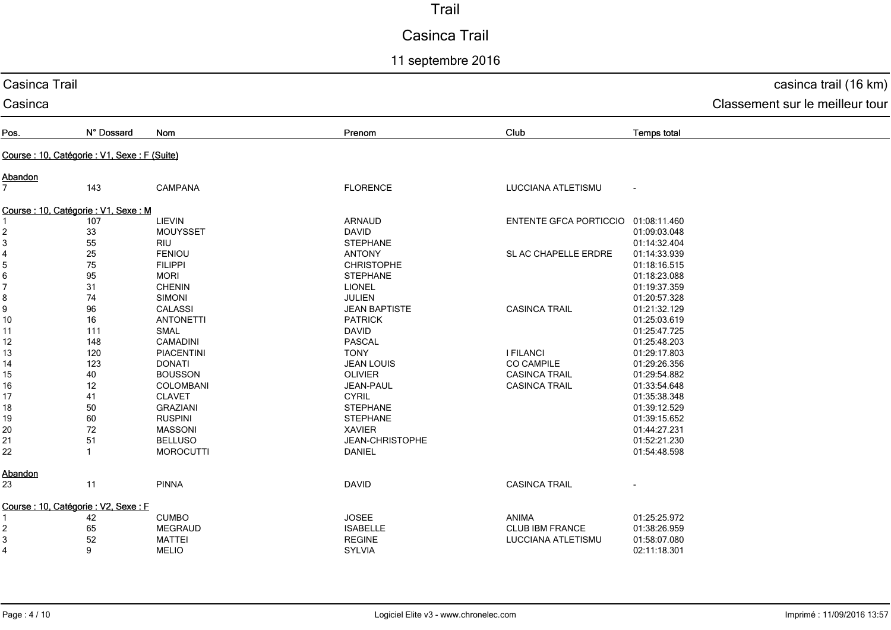# Casinca Trail

11 septembre 2016

| Casinca Trail  | casinca trail (16 km)                         |                  |                      |                                     |                    |                                 |
|----------------|-----------------------------------------------|------------------|----------------------|-------------------------------------|--------------------|---------------------------------|
| Casinca        |                                               |                  |                      |                                     |                    | Classement sur le meilleur tour |
| Pos.           | N° Dossard                                    | Nom              | Prenom               | Club                                | <b>Temps total</b> |                                 |
|                | Course : 10, Catégorie : V1, Sexe : F (Suite) |                  |                      |                                     |                    |                                 |
| Abandon        |                                               |                  |                      |                                     |                    |                                 |
| $\overline{7}$ | 143                                           | <b>CAMPANA</b>   | <b>FLORENCE</b>      | LUCCIANA ATLETISMU                  |                    |                                 |
|                | Course : 10, Catégorie : V1, Sexe : M         |                  |                      |                                     |                    |                                 |
|                | 107                                           | LIEVIN           | <b>ARNAUD</b>        | ENTENTE GFCA PORTICCIO 01:08:11.460 |                    |                                 |
| 2              | 33                                            | <b>MOUYSSET</b>  | <b>DAVID</b>         |                                     | 01:09:03.048       |                                 |
| $\mathbf{3}$   | 55                                            | <b>RIU</b>       | <b>STEPHANE</b>      |                                     | 01:14:32.404       |                                 |
| 4              | 25                                            | <b>FENIOU</b>    | <b>ANTONY</b>        | SL AC CHAPELLE ERDRE                | 01:14:33.939       |                                 |
| 5              | 75                                            | <b>FILIPPI</b>   | <b>CHRISTOPHE</b>    |                                     | 01:18:16.515       |                                 |
| 6              | 95                                            | <b>MORI</b>      | <b>STEPHANE</b>      |                                     | 01:18:23.088       |                                 |
| 7              | 31                                            | <b>CHENIN</b>    | <b>LIONEL</b>        |                                     | 01:19:37.359       |                                 |
| 8              | 74                                            | <b>SIMONI</b>    | <b>JULIEN</b>        |                                     | 01:20:57.328       |                                 |
| 9              | 96                                            | <b>CALASSI</b>   | <b>JEAN BAPTISTE</b> | <b>CASINCA TRAIL</b>                | 01:21:32.129       |                                 |
| 10             | $16\,$                                        | <b>ANTONETTI</b> | <b>PATRICK</b>       |                                     | 01:25:03.619       |                                 |
| 11             | 111                                           | <b>SMAL</b>      | <b>DAVID</b>         |                                     | 01:25:47.725       |                                 |
| 12             | 148                                           | <b>CAMADINI</b>  | PASCAL               |                                     | 01:25:48.203       |                                 |
| 13             | 120                                           | PIACENTINI       | <b>TONY</b>          | <b>I FILANCI</b>                    | 01:29:17.803       |                                 |
| 14             | 123                                           | <b>DONATI</b>    | <b>JEAN LOUIS</b>    | <b>CO CAMPILE</b>                   | 01:29:26.356       |                                 |
| 15             | 40                                            | <b>BOUSSON</b>   | <b>OLIVIER</b>       | <b>CASINCA TRAIL</b>                | 01:29:54.882       |                                 |
| 16             | 12                                            | COLOMBANI        | JEAN-PAUL            | <b>CASINCA TRAIL</b>                | 01:33:54.648       |                                 |
| 17             | 41                                            | <b>CLAVET</b>    | <b>CYRIL</b>         |                                     | 01:35:38.348       |                                 |
| 18             | 50                                            | <b>GRAZIANI</b>  | <b>STEPHANE</b>      |                                     | 01:39:12.529       |                                 |
| 19             | 60                                            | <b>RUSPINI</b>   | <b>STEPHANE</b>      |                                     | 01:39:15.652       |                                 |
| 20             | 72                                            | <b>MASSONI</b>   | <b>XAVIER</b>        |                                     | 01:44:27.231       |                                 |
| 21             | 51                                            | <b>BELLUSO</b>   | JEAN-CHRISTOPHE      |                                     | 01:52:21.230       |                                 |
| 22             | $\mathbf{1}$                                  | <b>MOROCUTTI</b> | <b>DANIEL</b>        |                                     | 01:54:48.598       |                                 |
| <b>Abandon</b> |                                               |                  |                      |                                     |                    |                                 |
| 23             | 11                                            | <b>PINNA</b>     | <b>DAVID</b>         | <b>CASINCA TRAIL</b>                |                    |                                 |
|                | Course : 10, Catégorie : V2, Sexe : F         |                  |                      |                                     |                    |                                 |
|                | 42                                            | <b>CUMBO</b>     | <b>JOSEE</b>         | ANIMA                               | 01:25:25.972       |                                 |
| 2              | 65                                            | <b>MEGRAUD</b>   | <b>ISABELLE</b>      | <b>CLUB IBM FRANCE</b>              | 01:38:26.959       |                                 |
| 3              | 52                                            | <b>MATTEI</b>    | <b>REGINE</b>        | LUCCIANA ATLETISMU                  | 01:58:07.080       |                                 |
| $\overline{4}$ | 9                                             | <b>MELIO</b>     | <b>SYLVIA</b>        |                                     | 02:11:18.301       |                                 |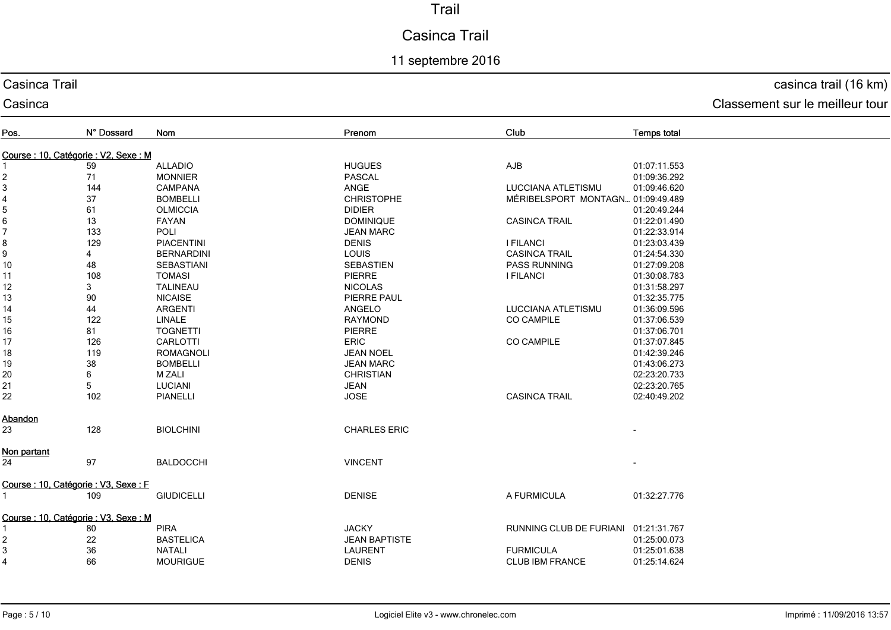# Casinca Trail

## 11 septembre 2016

#### Casinca Trail

Casinca

## casinca trail (16 km)

| Pos.                                  | N° Dossard | Nom               | Prenom               | Club                                 | <b>Temps total</b> |
|---------------------------------------|------------|-------------------|----------------------|--------------------------------------|--------------------|
| Course : 10, Catégorie : V2, Sexe : M |            |                   |                      |                                      |                    |
|                                       | 59         | <b>ALLADIO</b>    | <b>HUGUES</b>        | AJB                                  | 01:07:11.553       |
| $\overline{\mathbf{c}}$               | 71         | <b>MONNIER</b>    | <b>PASCAL</b>        |                                      | 01:09:36.292       |
| 3                                     | 144        | <b>CAMPANA</b>    | ANGE                 | LUCCIANA ATLETISMU                   | 01:09:46.620       |
|                                       | 37         | <b>BOMBELLI</b>   | <b>CHRISTOPHE</b>    | MÉRIBELSPORT MONTAGN 01:09:49.489    |                    |
| $\frac{4}{5}$                         | 61         | <b>OLMICCIA</b>   | <b>DIDIER</b>        |                                      | 01:20:49.244       |
| 6                                     | 13         | FAYAN             | <b>DOMINIQUE</b>     | <b>CASINCA TRAIL</b>                 | 01:22:01.490       |
| 7                                     | 133        | POLI              | <b>JEAN MARC</b>     |                                      | 01:22:33.914       |
| 8                                     | 129        | <b>PIACENTINI</b> | <b>DENIS</b>         | <b>I FILANCI</b>                     | 01:23:03.439       |
| 9                                     | 4          | <b>BERNARDINI</b> | LOUIS                | <b>CASINCA TRAIL</b>                 | 01:24:54.330       |
| $10$                                  | 48         | SEBASTIANI        | <b>SEBASTIEN</b>     | PASS RUNNING                         | 01:27:09.208       |
| 11                                    | 108        | <b>TOMASI</b>     | <b>PIERRE</b>        | <b>I FILANCI</b>                     | 01:30:08.783       |
| 12                                    | 3          | <b>TALINEAU</b>   | <b>NICOLAS</b>       |                                      | 01:31:58.297       |
| 13                                    | 90         | <b>NICAISE</b>    | PIERRE PAUL          |                                      | 01:32:35.775       |
| 14                                    | 44         | <b>ARGENTI</b>    | ANGELO               | LUCCIANA ATLETISMU                   | 01:36:09.596       |
| 15                                    | 122        | LINALE            | <b>RAYMOND</b>       | <b>CO CAMPILE</b>                    | 01:37:06.539       |
| 16                                    | 81         | <b>TOGNETTI</b>   | <b>PIERRE</b>        |                                      | 01:37:06.701       |
| 17                                    | 126        | CARLOTTI          | <b>ERIC</b>          | <b>CO CAMPILE</b>                    | 01:37:07.845       |
| 18                                    | 119        | ROMAGNOLI         | <b>JEAN NOEL</b>     |                                      | 01:42:39.246       |
| 19                                    | 38         | <b>BOMBELLI</b>   | <b>JEAN MARC</b>     |                                      | 01:43:06.273       |
| 20                                    | 6          | <b>M ZALI</b>     | <b>CHRISTIAN</b>     |                                      | 02:23:20.733       |
| 21                                    | 5          | <b>LUCIANI</b>    | <b>JEAN</b>          |                                      | 02:23:20.765       |
| 22                                    | 102        | <b>PIANELLI</b>   | <b>JOSE</b>          | <b>CASINCA TRAIL</b>                 | 02:40:49.202       |
|                                       |            |                   |                      |                                      |                    |
| Abandon<br>23                         | 128        | <b>BIOLCHINI</b>  | <b>CHARLES ERIC</b>  |                                      |                    |
|                                       |            |                   |                      |                                      |                    |
| Non partant                           |            |                   |                      |                                      |                    |
| 24                                    | 97         | <b>BALDOCCHI</b>  | <b>VINCENT</b>       |                                      |                    |
| Course : 10, Catégorie : V3, Sexe : F |            |                   |                      |                                      |                    |
|                                       | 109        | <b>GIUDICELLI</b> | <b>DENISE</b>        | A FURMICULA                          | 01:32:27.776       |
| Course: 10, Catégorie: V3, Sexe: M    |            |                   |                      |                                      |                    |
|                                       | 80         | <b>PIRA</b>       | <b>JACKY</b>         | RUNNING CLUB DE FURIANI 01:21:31.767 |                    |
| $\overline{\mathbf{c}}$               | 22         | <b>BASTELICA</b>  | <b>JEAN BAPTISTE</b> |                                      | 01:25:00.073       |
| 3                                     | 36         | <b>NATALI</b>     | LAURENT              | <b>FURMICULA</b>                     | 01:25:01.638       |
| $\overline{\mathbf{4}}$               | 66         | <b>MOURIGUE</b>   | <b>DENIS</b>         | <b>CLUB IBM FRANCE</b>               | 01:25:14.624       |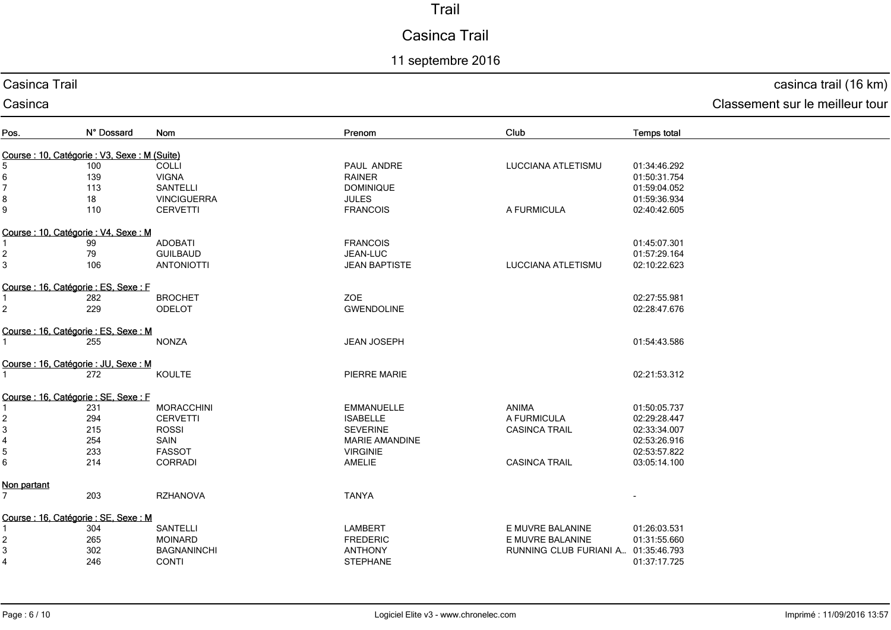# Casinca Trail

## 11 septembre 2016

#### Casinca Trail

#### Casinca

casinca trail (16 km)

| Pos.                      | N° Dossard                                 | Nom                | Prenom                | Club                                | Temps total  |
|---------------------------|--------------------------------------------|--------------------|-----------------------|-------------------------------------|--------------|
|                           | Course: 10, Catégorie: V3, Sexe: M (Suite) |                    |                       |                                     |              |
| 5                         | 100                                        | <b>COLLI</b>       | PAUL ANDRE            | <b>LUCCIANA ATLETISMU</b>           | 01:34:46.292 |
| $\,6\,$                   | 139                                        | <b>VIGNA</b>       | <b>RAINER</b>         |                                     | 01:50:31.754 |
| $\overline{7}$            | 113                                        | <b>SANTELLI</b>    | <b>DOMINIQUE</b>      |                                     | 01:59:04.052 |
|                           |                                            |                    |                       |                                     |              |
| 8                         | 18                                         | <b>VINCIGUERRA</b> | <b>JULES</b>          |                                     | 01:59:36.934 |
| 9                         | 110                                        | <b>CERVETTI</b>    | <b>FRANCOIS</b>       | A FURMICULA                         | 02:40:42.605 |
|                           | Course: 10, Catégorie: V4, Sexe: M         |                    |                       |                                     |              |
|                           | 99                                         | <b>ADOBATI</b>     | <b>FRANCOIS</b>       |                                     | 01:45:07.301 |
| $\overline{c}$            | 79                                         | <b>GUILBAUD</b>    | JEAN-LUC              |                                     | 01:57:29.164 |
| 3                         | 106                                        | <b>ANTONIOTTI</b>  | <b>JEAN BAPTISTE</b>  | LUCCIANA ATLETISMU                  | 02:10:22.623 |
|                           | Course : 16, Catégorie : ES, Sexe : F      |                    |                       |                                     |              |
|                           | 282                                        | <b>BROCHET</b>     | <b>ZOE</b>            |                                     | 02:27:55.981 |
| $\overline{2}$            | 229                                        | <b>ODELOT</b>      | <b>GWENDOLINE</b>     |                                     | 02:28:47.676 |
|                           |                                            |                    |                       |                                     |              |
|                           | Course: 16, Catégorie: ES, Sexe: M         |                    |                       |                                     |              |
|                           | 255                                        | <b>NONZA</b>       | <b>JEAN JOSEPH</b>    |                                     | 01:54:43.586 |
|                           | Course : 16, Catégorie : JU, Sexe : M      |                    |                       |                                     |              |
| $\mathbf{1}$              | 272                                        | KOULTE             | PIERRE MARIE          |                                     | 02:21:53.312 |
|                           |                                            |                    |                       |                                     |              |
|                           | Course : 16, Catégorie : SE, Sexe : F      |                    |                       |                                     |              |
|                           | 231                                        | <b>MORACCHINI</b>  | <b>EMMANUELLE</b>     | <b>ANIMA</b>                        | 01:50:05.737 |
| $\overline{\mathbf{c}}$   | 294                                        | <b>CERVETTI</b>    | <b>ISABELLE</b>       | A FURMICULA                         | 02:29:28.447 |
| $\ensuremath{\mathsf{3}}$ | 215                                        | <b>ROSSI</b>       | <b>SEVERINE</b>       | <b>CASINCA TRAIL</b>                | 02:33:34.007 |
| 4                         | 254                                        | SAIN               | <b>MARIE AMANDINE</b> |                                     | 02:53:26.916 |
| $\overline{5}$            | 233                                        | <b>FASSOT</b>      | <b>VIRGINIE</b>       |                                     | 02:53:57.822 |
| 6                         | 214                                        | <b>CORRADI</b>     | AMELIE                | <b>CASINCA TRAIL</b>                | 03:05:14.100 |
| Non partant               |                                            |                    |                       |                                     |              |
| $\overline{7}$            | 203                                        | <b>RZHANOVA</b>    | <b>TANYA</b>          |                                     |              |
|                           |                                            |                    |                       |                                     |              |
|                           | Course : 16, Catégorie : SE, Sexe : M      |                    |                       |                                     |              |
|                           | 304                                        | SANTELLI           | <b>LAMBERT</b>        | E MUVRE BALANINE                    | 01:26:03.531 |
| 2                         | 265                                        | <b>MOINARD</b>     | <b>FREDERIC</b>       | E MUVRE BALANINE                    | 01:31:55.660 |
| $\ensuremath{\mathsf{3}}$ | 302                                        | <b>BAGNANINCHI</b> | <b>ANTHONY</b>        | RUNNING CLUB FURIANI A 01:35:46.793 |              |
| $\overline{\mathbf{4}}$   | 246                                        | <b>CONTI</b>       | <b>STEPHANE</b>       |                                     | 01:37:17.725 |
|                           |                                            |                    |                       |                                     |              |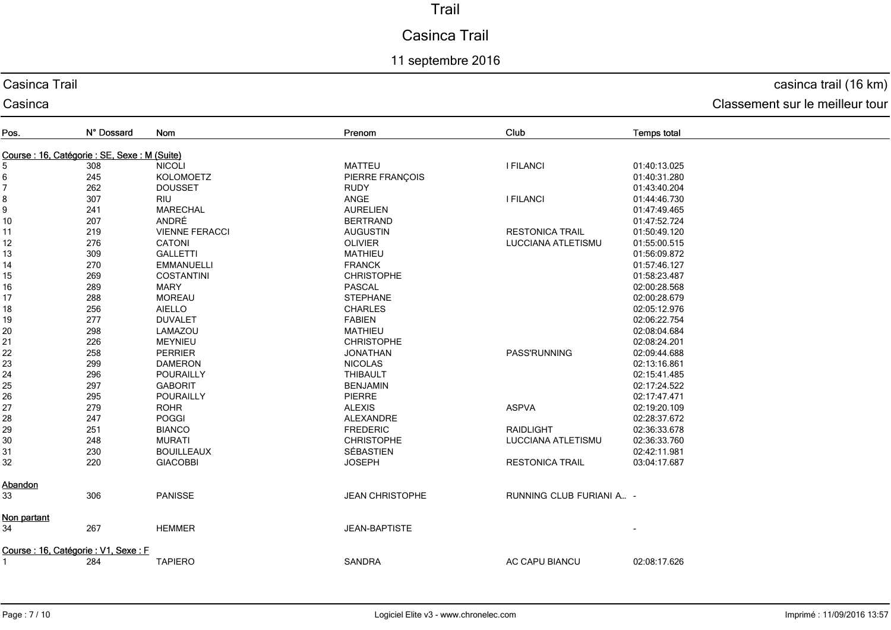# Casinca Trail

## 11 septembre 2016

#### Casinca Trail

#### Casinca

casinca trail (16 km)

| Pos.           | N° Dossard                                 | Nom                   | Prenom                 | Club                     | <b>Temps total</b> |
|----------------|--------------------------------------------|-----------------------|------------------------|--------------------------|--------------------|
|                |                                            |                       |                        |                          |                    |
|                | Course: 16, Catégorie: SE, Sexe: M (Suite) |                       |                        |                          |                    |
| 5              | 308                                        | <b>NICOLI</b>         | <b>MATTEU</b>          | <b>I FILANCI</b>         | 01:40:13.025       |
| 6<br>7         | 245                                        | <b>KOLOMOETZ</b>      | PIERRE FRANÇOIS        |                          | 01:40:31.280       |
|                | 262                                        | <b>DOUSSET</b>        | <b>RUDY</b>            |                          | 01:43:40.204       |
| 8              | 307                                        | <b>RIU</b>            | <b>ANGE</b>            | <b>I FILANCI</b>         | 01:44:46.730       |
| 9              | 241                                        | <b>MARECHAL</b>       | <b>AURELIEN</b>        |                          | 01:47:49.465       |
| 10             | 207                                        | ANDRÉ                 | <b>BERTRAND</b>        |                          | 01:47:52.724       |
| 11             | 219                                        | <b>VIENNE FERACCI</b> | <b>AUGUSTIN</b>        | <b>RESTONICA TRAIL</b>   | 01:50:49.120       |
| 12             | 276                                        | <b>CATONI</b>         | <b>OLIVIER</b>         | LUCCIANA ATLETISMU       | 01:55:00.515       |
| 13             | 309                                        | <b>GALLETTI</b>       | <b>MATHIEU</b>         |                          | 01:56:09.872       |
| 14             | 270                                        | <b>EMMANUELLI</b>     | <b>FRANCK</b>          |                          | 01:57:46.127       |
| 15             | 269                                        | <b>COSTANTINI</b>     | <b>CHRISTOPHE</b>      |                          | 01:58:23.487       |
| 16             | 289                                        | <b>MARY</b>           | <b>PASCAL</b>          |                          | 02:00:28.568       |
| 17             | 288                                        | <b>MOREAU</b>         | <b>STEPHANE</b>        |                          | 02:00:28.679       |
| 18             | 256                                        | <b>AIELLO</b>         | <b>CHARLES</b>         |                          | 02:05:12.976       |
| 19             | 277                                        | <b>DUVALET</b>        | <b>FABIEN</b>          |                          | 02:06:22.754       |
| 20             | 298                                        | LAMAZOU               | <b>MATHIEU</b>         |                          | 02:08:04.684       |
| 21             | 226                                        | <b>MEYNIEU</b>        | <b>CHRISTOPHE</b>      |                          | 02:08:24.201       |
| 22             | 258                                        | <b>PERRIER</b>        | <b>JONATHAN</b>        | <b>PASS'RUNNING</b>      | 02:09:44.688       |
| 23             | 299                                        | <b>DAMERON</b>        | <b>NICOLAS</b>         |                          | 02:13:16.861       |
| 24             | 296                                        | POURAILLY             | <b>THIBAULT</b>        |                          | 02:15:41.485       |
| 25             | 297                                        | <b>GABORIT</b>        | <b>BENJAMIN</b>        |                          | 02:17:24.522       |
| 26             | 295                                        | POURAILLY             | <b>PIERRE</b>          |                          | 02:17:47.471       |
| 27             | 279                                        | <b>ROHR</b>           | <b>ALEXIS</b>          | <b>ASPVA</b>             | 02:19:20.109       |
| 28             | 247                                        | POGGI                 | <b>ALEXANDRE</b>       |                          | 02:28:37.672       |
| 29             | 251                                        | <b>BIANCO</b>         | <b>FREDERIC</b>        | <b>RAIDLIGHT</b>         | 02:36:33.678       |
| 30             | 248                                        | <b>MURATI</b>         | <b>CHRISTOPHE</b>      | LUCCIANA ATLETISMU       | 02:36:33.760       |
| 31             | 230                                        | <b>BOUILLEAUX</b>     | SÉBASTIEN              |                          | 02:42:11.981       |
| 32             | 220                                        | <b>GIACOBBI</b>       | <b>JOSEPH</b>          | <b>RESTONICA TRAIL</b>   | 03:04:17.687       |
| <u>Abandon</u> |                                            |                       |                        |                          |                    |
| 33             | 306                                        | <b>PANISSE</b>        | <b>JEAN CHRISTOPHE</b> | RUNNING CLUB FURIANI A - |                    |
| Non partant    |                                            |                       |                        |                          |                    |
| 34             | 267                                        | <b>HEMMER</b>         | JEAN-BAPTISTE          |                          |                    |
|                | Course : 16, Catégorie : V1, Sexe : F      |                       |                        |                          |                    |
|                | 284                                        | <b>TAPIERO</b>        | <b>SANDRA</b>          | AC CAPU BIANCU           | 02:08:17.626       |
|                |                                            |                       |                        |                          |                    |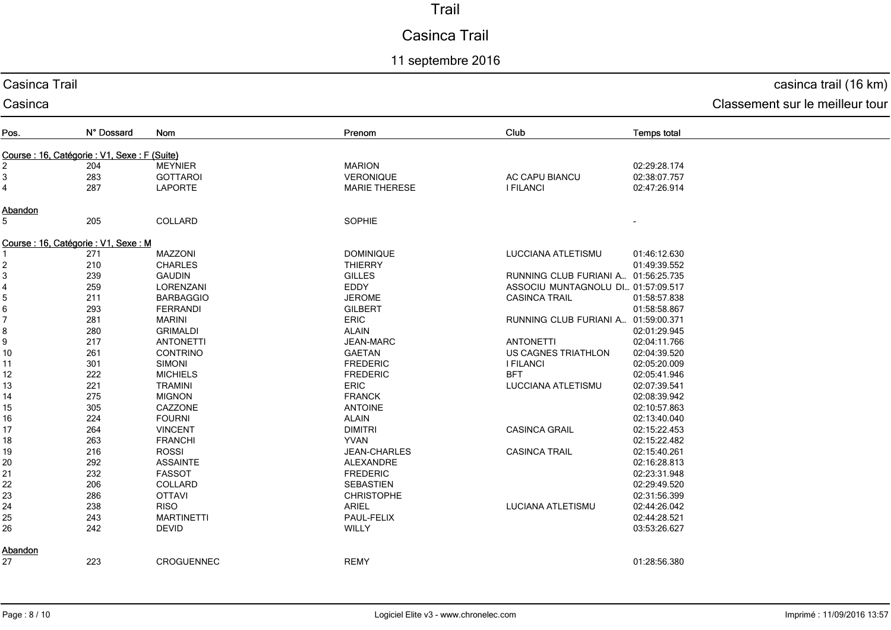#### Casinca Trail

#### 11 septembre 2016

#### Casinca Classement sur le meilleur tour Pos. N° Dossard Nom Prenom Club **Temps total** Course : 16, Catégorie : V1, Sexe : F (Suite) 2 204 MEYNIER MARION 02:29:28.174 3 283 GOTTAROI VERONIQUE AC CAPU BIANCU 02:38:07.7574 287 LAPORTE02:47:26.914 E **I FILANCI 1** FILANCI **02:47:26.914** Abandon 5 205 COLLARDD SOPHIE SOPHIE Course: 16, Catégorie: V1, Sexe: M 1 271 MAZZONI DOMINIQUE LUCCIANA ATLETISMU 01:46:12.6302 210 CHARLES<br>3 239 GAUDIN 01:49:39.552 THIERRY 01:49:39.552 3 239 GAUDIN GILLES RUNNING CLUB FURIANI A… 01:56:25.735 4 259 LORENZANI ASSOCIU MUNTAGNOLU DI … 01:57:09.517 5 211 BARBAGGIO JEROME CASINCA TRAIL 01:58:57.83801:58:58.867 6 293 FERRANDI GILBERT01:58:58.867<br>پیوه موجود در موجود موجود موجود موجود موجود موجود موجود موجود موجود موجود موجود موجود موجود موجود موجود موجود 7 281 MARINI ERIC RUNNING CLUB FURIANI A… 01:59:00.371 8 280 GRIMALDI ALAIN 02:01:29.945 9 217 ANTONETTI JEAN-MARC ANTONETTI 02:04:11.76610 261 CONTRINO GAETAN US CAGNES TRIATHLON 02:04:39.520 02:04:39.520 11 301 SIMONI FREDERIC I FILANCI 02:05:20.00912 222 MICHIELS02:05:41.946 FREDERIC BFT 02:05:41.946 LUCCIANA ATLETISMU 02:07:39.541 13 221 TRAMINI ERIC14 275 MIGNON<br>15 305 CAZZONI FRANCK 02:08:39.942 15 305 CAZZONEE DE LANTOINE ANTOINE ANTOINE AND LANTOINE AND LAND AND LAND AND LAND AND LAND AND LAND AND LAND AND LAND AND LAND AND LAND AND LAND AND LAND AND LAND AND LAND AND LAND AND LAND AND LAND AND LAND AND LAND AND LAND AND LAND 16 224 FOURNI ALAIN 02:13:40.040 17 264 VINCENT<br>18 263 FRANCHI DIMITRI CASINCA GRAIL 02:15:22.453 18 263 FRANCHI YVANN 02:15:22.482 19 216 ROSSI JEAN-CHARLES CASINCA TRAIL 02:15:40.261 20 292 ASSAINTE02:16:28.813 ALEXANDRE 02:16:28.813 21 232 FASSOTFREDERIC<br>SEBASTIEN 02:23:31.948 22 206 COLLARD SEBASTIEN 02:29:49.520 23 286 OTTAVI CHRISTOPHE02:31:56.399<br>مدم مع در المسلم السياسي المسلم المسلم المسلم المسلم المسلم المسلم المسلم المسلم المسلم المسلم المسلم المسلم ا 24 238 RISO ARIEL LUCIANA ATLETISMU 02:44:26.042 25 243 MARTINETTI PAUL-FELIX  $\chi$  02:44:28.521 26 242 DEVIDD 03:53:26.627 **Abandon** 27 223 CROGUENNEC REMY01:28:56.380

Casinca Trail

#### casinca trail (16 km)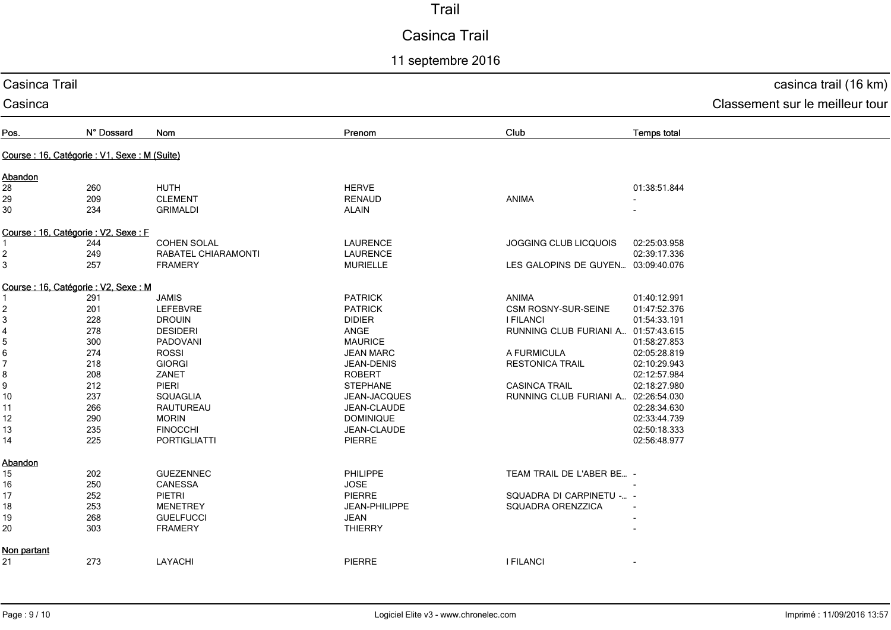# Casinca Trail

11 septembre 2016

| Casinca Trail  | casinca trail (16 km)                         |                     |                   |                                     |                    |                                 |
|----------------|-----------------------------------------------|---------------------|-------------------|-------------------------------------|--------------------|---------------------------------|
| Casinca        |                                               |                     |                   |                                     |                    | Classement sur le meilleur tour |
| Pos.           | N° Dossard                                    | Nom                 | Prenom            | Club                                | <b>Temps total</b> |                                 |
|                | Course : 16, Catégorie : V1, Sexe : M (Suite) |                     |                   |                                     |                    |                                 |
| Abandon        |                                               |                     |                   |                                     |                    |                                 |
| 28             | 260                                           | <b>HUTH</b>         | <b>HERVE</b>      |                                     | 01:38:51.844       |                                 |
| 29             | 209                                           | <b>CLEMENT</b>      | <b>RENAUD</b>     | ANIMA                               |                    |                                 |
| 30             | 234                                           | <b>GRIMALDI</b>     | ALAIN             |                                     |                    |                                 |
|                | Course : 16, Catégorie : V2, Sexe : F         |                     |                   |                                     |                    |                                 |
|                | 244                                           | <b>COHEN SOLAL</b>  | <b>LAURENCE</b>   | JOGGING CLUB LICQUOIS               | 02:25:03.958       |                                 |
| 2              | 249                                           | RABATEL CHIARAMONTI | <b>LAURENCE</b>   |                                     | 02:39:17.336       |                                 |
| 3              | 257                                           | <b>FRAMERY</b>      | <b>MURIELLE</b>   | LES GALOPINS DE GUYEN 03:09:40.076  |                    |                                 |
|                | Course : 16, Catégorie : V2, Sexe : M         |                     |                   |                                     |                    |                                 |
|                | 291                                           | <b>JAMIS</b>        | <b>PATRICK</b>    | ANIMA                               | 01:40:12.991       |                                 |
| $\overline{2}$ | 201                                           | LEFEBVRE            | <b>PATRICK</b>    | CSM ROSNY-SUR-SEINE                 | 01:47:52.376       |                                 |
| $\mathbf{3}$   | 228                                           | <b>DROUIN</b>       | <b>DIDIER</b>     | <b>I FILANCI</b>                    | 01:54:33.191       |                                 |
| 4              | 278                                           | <b>DESIDERI</b>     | ANGE              | RUNNING CLUB FURIANI A 01:57:43.615 |                    |                                 |
| 5              | 300                                           | PADOVANI            | <b>MAURICE</b>    |                                     | 01:58:27.853       |                                 |
| 6              | 274                                           | <b>ROSSI</b>        | <b>JEAN MARC</b>  | A FURMICULA                         | 02:05:28.819       |                                 |
| 7              | 218                                           | <b>GIORGI</b>       | <b>JEAN-DENIS</b> | <b>RESTONICA TRAIL</b>              | 02:10:29.943       |                                 |
| 8              | 208                                           | ZANET               | <b>ROBERT</b>     |                                     | 02:12:57.984       |                                 |
| 9              | 212                                           | PIERI               | <b>STEPHANE</b>   | <b>CASINCA TRAIL</b>                | 02:18:27.980       |                                 |
| 10             | 237                                           | <b>SQUAGLIA</b>     | JEAN-JACQUES      | RUNNING CLUB FURIANI A 02:26:54.030 |                    |                                 |
| 11             | 266                                           | RAUTUREAU           | JEAN-CLAUDE       |                                     | 02:28:34.630       |                                 |
| 12             | 290                                           | <b>MORIN</b>        | <b>DOMINIQUE</b>  |                                     | 02:33:44.739       |                                 |
| 13             | 235                                           | <b>FINOCCHI</b>     | JEAN-CLAUDE       |                                     | 02:50:18.333       |                                 |
| 14             | 225                                           | <b>PORTIGLIATTI</b> | <b>PIERRE</b>     |                                     | 02:56:48.977       |                                 |
| Abandon        |                                               |                     |                   |                                     |                    |                                 |
| 15             | 202                                           | <b>GUEZENNEC</b>    | PHILIPPE          | TEAM TRAIL DE L'ABER BE -           |                    |                                 |
| 16             | 250                                           | CANESSA             | <b>JOSE</b>       |                                     |                    |                                 |
| 17             | 252                                           | PIETRI              | <b>PIERRE</b>     | SQUADRA DI CARPINETU - -            |                    |                                 |
| 18             | 253                                           | <b>MENETREY</b>     | JEAN-PHILIPPE     | SQUADRA ORENZZICA                   |                    |                                 |
| 19             | 268                                           | <b>GUELFUCCI</b>    | <b>JEAN</b>       |                                     |                    |                                 |
| 20             | 303                                           | <b>FRAMERY</b>      | <b>THIERRY</b>    |                                     |                    |                                 |
| Non partant    |                                               |                     |                   |                                     |                    |                                 |
| 21             | 273                                           | LAYACHI             | <b>PIERRE</b>     | <b>I FILANCI</b>                    |                    |                                 |